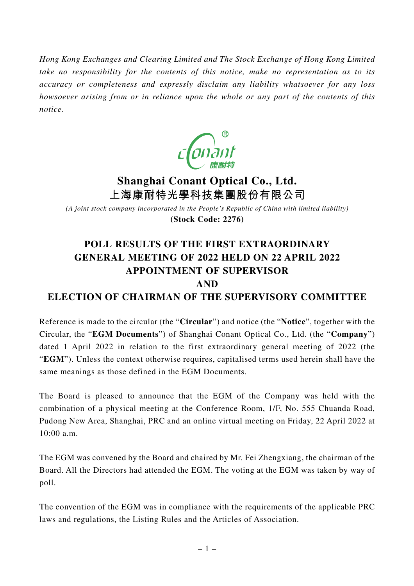*Hong Kong Exchanges and Clearing Limited and The Stock Exchange of Hong Kong Limited take no responsibility for the contents of this notice, make no representation as to its accuracy or completeness and expressly disclaim any liability whatsoever for any loss howsoever arising from or in reliance upon the whole or any part of the contents of this notice.*



# **Shanghai Conant Optical Co., Ltd. 上海康耐特光學科技集團股份有限公司**

*(A joint stock company incorporated in the People's Republic of China with limited liability)* **(Stock Code: 2276)**

## **POLL RESULTS OF THE FIRST EXTRAORDINARY GENERAL MEETING OF 2022 HELD ON 22 APRIL 2022 APPOINTMENT OF SUPERVISOR AND**

### **ELECTION OF CHAIRMAN OF THE SUPERVISORY COMMITTEE**

Reference is made to the circular (the "**Circular**") and notice (the "**Notice**", together with the Circular, the "**EGM Documents**") of Shanghai Conant Optical Co., Ltd. (the "**Company**") dated 1 April 2022 in relation to the first extraordinary general meeting of 2022 (the "**EGM**"). Unless the context otherwise requires, capitalised terms used herein shall have the same meanings as those defined in the EGM Documents.

The Board is pleased to announce that the EGM of the Company was held with the combination of a physical meeting at the Conference Room, 1/F, No. 555 Chuanda Road, Pudong New Area, Shanghai, PRC and an online virtual meeting on Friday, 22 April 2022 at 10:00 a.m.

The EGM was convened by the Board and chaired by Mr. Fei Zhengxiang, the chairman of the Board. All the Directors had attended the EGM. The voting at the EGM was taken by way of poll.

The convention of the EGM was in compliance with the requirements of the applicable PRC laws and regulations, the Listing Rules and the Articles of Association.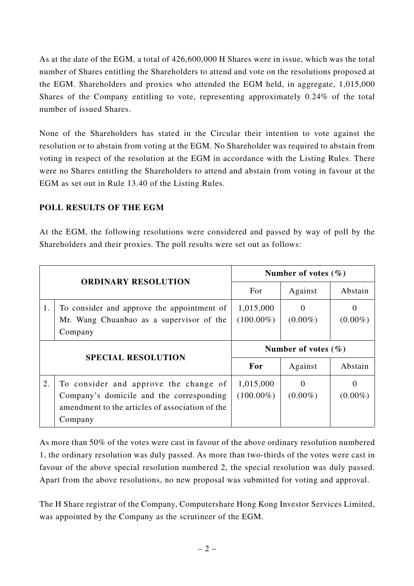As at the date of the EGM, a total of 426,600,000 H Shares were in issue, which was the total number of Shares entitling the Shareholders to attend and vote on the resolutions proposed at the EGM. Shareholders and proxies who attended the EGM held, in aggregate, 1,015,000 Shares of the Company entitling to vote, representing approximately 0.24% of the total number of issued Shares.

None of the Shareholders has stated in the Circular their intention to vote against the resolution or to abstain from voting at the EGM. No Shareholder was required to abstain from voting in respect of the resolution at the EGM in accordance with the Listing Rules. There were no Shares entitling the Shareholders to attend and abstain from voting in favour at the EGM as set out in Rule 13.40 of the Listing Rules.

#### **POLL RESULTS OF THE EGM**

At the EGM, the following resolutions were considered and passed by way of poll by the Shareholders and their proxies. The poll results were set out as follows:

| <b>ORDINARY RESOLUTION</b> |                                                                                                   | Number of votes $(\% )$   |                        |            |
|----------------------------|---------------------------------------------------------------------------------------------------|---------------------------|------------------------|------------|
|                            |                                                                                                   | For                       | Against                | Abstain    |
| 1.                         | To consider and approve the appointment of<br>Mr. Wang Chuanbao as a supervisor of the<br>Company | 1,015,000<br>$(100.00\%)$ | $\Omega$<br>$(0.00\%)$ | $(0.00\%)$ |
| <b>SPECIAL RESOLUTION</b>  |                                                                                                   | Number of votes $(\% )$   |                        |            |
|                            |                                                                                                   | For                       |                        |            |
|                            |                                                                                                   |                           | Against                | Abstain    |

As more than 50% of the votes were cast in favour of the above ordinary resolution numbered 1, the ordinary resolution was duly passed. As more than two-thirds of the votes were cast in favour of the above special resolution numbered 2, the special resolution was duly passed. Apart from the above resolutions, no new proposal was submitted for voting and approval.

The H Share registrar of the Company, Computershare Hong Kong Investor Services Limited, was appointed by the Company as the scrutineer of the EGM.